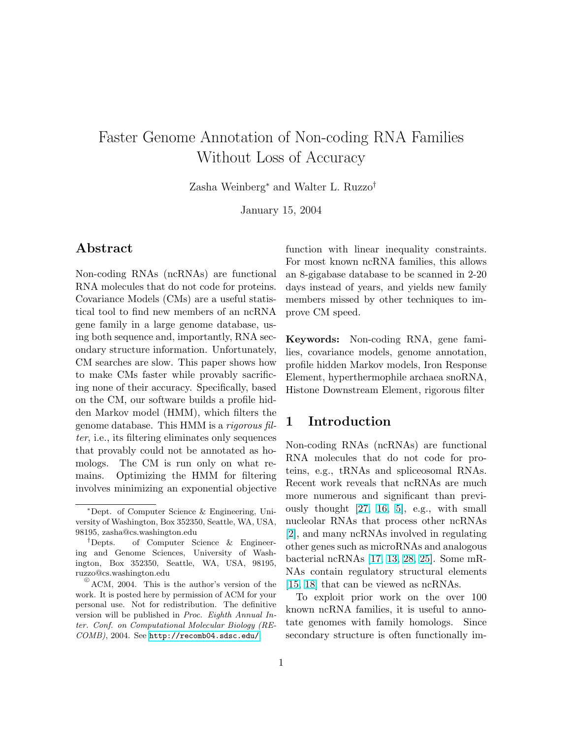# Faster Genome Annotation of Non-coding RNA Families Without Loss of Accuracy

Zasha Weinberg<sup>∗</sup> and Walter L. Ruzzo†

January 15, 2004

### Abstract

Non-coding RNAs (ncRNAs) are functional RNA molecules that do not code for proteins. Covariance Models (CMs) are a useful statistical tool to find new members of an ncRNA gene family in a large genome database, using both sequence and, importantly, RNA secondary structure information. Unfortunately, CM searches are slow. This paper shows how to make CMs faster while provably sacrificing none of their accuracy. Specifically, based on the CM, our software builds a profile hidden Markov model (HMM), which filters the genome database. This HMM is a rigorous filter, i.e., its filtering eliminates only sequences that provably could not be annotated as homologs. The CM is run only on what remains. Optimizing the HMM for filtering involves minimizing an exponential objective function with linear inequality constraints. For most known ncRNA families, this allows an 8-gigabase database to be scanned in 2-20 days instead of years, and yields new family members missed by other techniques to improve CM speed.

Keywords: Non-coding RNA, gene families, covariance models, genome annotation, profile hidden Markov models, Iron Response Element, hyperthermophile archaea snoRNA, Histone Downstream Element, rigorous filter

## 1 Introduction

Non-coding RNAs (ncRNAs) are functional RNA molecules that do not code for proteins, e.g., tRNAs and spliceosomal RNAs. Recent work reveals that ncRNAs are much more numerous and significant than previously thought [\[27,](#page-12-0) [16,](#page-12-0) [5\]](#page-11-0), e.g., with small nucleolar RNAs that process other ncRNAs [\[2\]](#page-11-0), and many ncRNAs involved in regulating other genes such as microRNAs and analogous bacterial ncRNAs [\[17,](#page-12-0) [13,](#page-12-0) [28,](#page-13-0) [25\]](#page-12-0). Some mR-NAs contain regulatory structural elements [\[15,](#page-12-0) [18\]](#page-12-0) that can be viewed as ncRNAs.

To exploit prior work on the over 100 known ncRNA families, it is useful to annotate genomes with family homologs. Since secondary structure is often functionally im-

<sup>∗</sup>Dept. of Computer Science & Engineering, University of Washington, Box 352350, Seattle, WA, USA, 98195, zasha@cs.washington.edu

<sup>†</sup>Depts. of Computer Science & Engineering and Genome Sciences, University of Washington, Box 352350, Seattle, WA, USA, 98195, ruzzo@cs.washington.edu

 $\,^{\circ}$ ACM, 2004. This is the author's version of the work. It is posted here by permission of ACM for your personal use. Not for redistribution. The definitive version will be published in Proc. Eighth Annual Inter. Conf. on Computational Molecular Biology (RE-COMB), 2004. See <http://recomb04.sdsc.edu/>.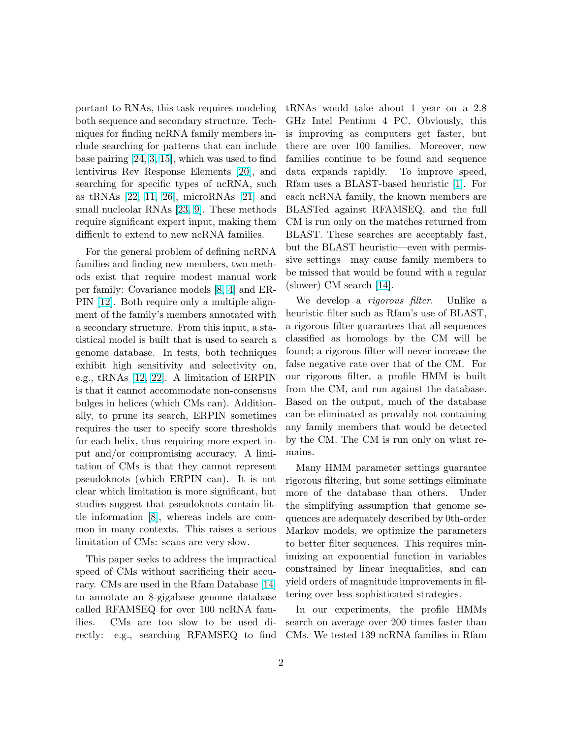portant to RNAs, this task requires modeling both sequence and secondary structure. Techniques for finding ncRNA family members include searching for patterns that can include base pairing [\[24,](#page-12-0) [3,](#page-11-0) [15\]](#page-12-0), which was used to find lentivirus Rev Response Elements [\[20\]](#page-12-0), and searching for specific types of ncRNA, such as tRNAs [\[22,](#page-12-0) [11,](#page-11-0) [26\]](#page-12-0), microRNAs [\[21\]](#page-12-0) and small nucleolar RNAs [\[23,](#page-12-0) [9\]](#page-11-0). These methods require significant expert input, making them difficult to extend to new ncRNA families.

For the general problem of defining ncRNA families and finding new members, two methods exist that require modest manual work per family: Covariance models [\[8,](#page-11-0) [4\]](#page-11-0) and ER-PIN [\[12\]](#page-12-0). Both require only a multiple alignment of the family's members annotated with a secondary structure. From this input, a statistical model is built that is used to search a genome database. In tests, both techniques exhibit high sensitivity and selectivity on, e.g., tRNAs [\[12,](#page-12-0) [22\]](#page-12-0). A limitation of ERPIN is that it cannot accommodate non-consensus bulges in helices (which CMs can). Additionally, to prune its search, ERPIN sometimes requires the user to specify score thresholds for each helix, thus requiring more expert input and/or compromising accuracy. A limitation of CMs is that they cannot represent pseudoknots (which ERPIN can). It is not clear which limitation is more significant, but studies suggest that pseudoknots contain little information [\[8\]](#page-11-0), whereas indels are common in many contexts. This raises a serious limitation of CMs: scans are very slow.

This paper seeks to address the impractical speed of CMs without sacrificing their accuracy. CMs are used in the Rfam Database [\[14\]](#page-12-0) to annotate an 8-gigabase genome database called RFAMSEQ for over 100 ncRNA families. CMs are too slow to be used directly: e.g., searching RFAMSEQ to find tRNAs would take about 1 year on a 2.8 GHz Intel Pentium 4 PC. Obviously, this is improving as computers get faster, but there are over 100 families. Moreover, new families continue to be found and sequence data expands rapidly. To improve speed, Rfam uses a BLAST-based heuristic [\[1\]](#page-11-0). For each ncRNA family, the known members are BLASTed against RFAMSEQ, and the full CM is run only on the matches returned from BLAST. These searches are acceptably fast, but the BLAST heuristic—even with permissive settings—may cause family members to be missed that would be found with a regular (slower) CM search [\[14\]](#page-12-0).

We develop a *rigorous filter*. Unlike a heuristic filter such as Rfam's use of BLAST, a rigorous filter guarantees that all sequences classified as homologs by the CM will be found; a rigorous filter will never increase the false negative rate over that of the CM. For our rigorous filter, a profile HMM is built from the CM, and run against the database. Based on the output, much of the database can be eliminated as provably not containing any family members that would be detected by the CM. The CM is run only on what remains.

Many HMM parameter settings guarantee rigorous filtering, but some settings eliminate more of the database than others. Under the simplifying assumption that genome sequences are adequately described by 0th-order Markov models, we optimize the parameters to better filter sequences. This requires minimizing an exponential function in variables constrained by linear inequalities, and can yield orders of magnitude improvements in filtering over less sophisticated strategies.

In our experiments, the profile HMMs search on average over 200 times faster than CMs. We tested 139 ncRNA families in Rfam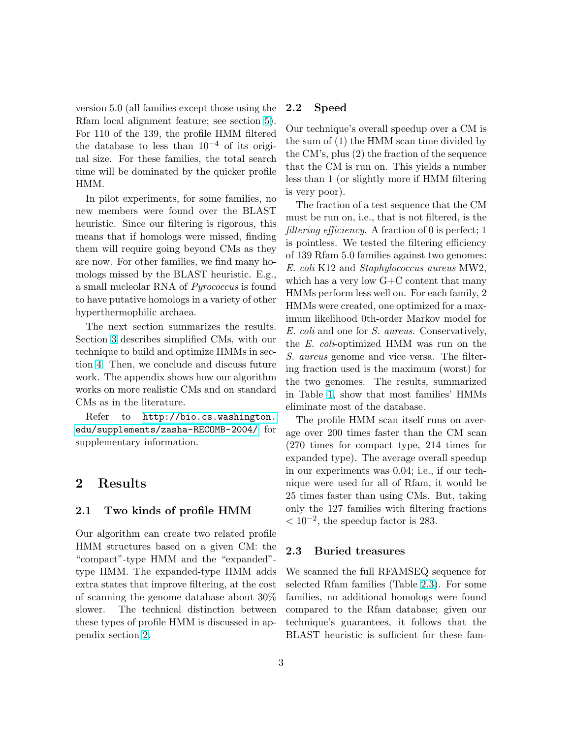version 5.0 (all families except those using the Rfam local alignment feature; see section [5\)](#page-10-0). For 110 of the 139, the profile HMM filtered the database to less than  $10^{-4}$  of its original size. For these families, the total search time will be dominated by the quicker profile HMM.

In pilot experiments, for some families, no new members were found over the BLAST heuristic. Since our filtering is rigorous, this means that if homologs were missed, finding them will require going beyond CMs as they are now. For other families, we find many homologs missed by the BLAST heuristic. E.g., a small nucleolar RNA of *Pyrococcus* is found to have putative homologs in a variety of other hyperthermophilic archaea.

The next section summarizes the results. Section [3](#page-5-0) describes simplified CMs, with our technique to build and optimize HMMs in section [4.](#page-6-0) Then, we conclude and discuss future work. The appendix shows how our algorithm works on more realistic CMs and on standard CMs as in the literature.

Refer to [http://bio.cs.washington.](http://bio.cs.washington.edu/supplements/zasha-RECOMB-2004/) [edu/supplements/zasha-RECOMB-2004/](http://bio.cs.washington.edu/supplements/zasha-RECOMB-2004/) for supplementary information.

### 2 Results

#### 2.1 Two kinds of profile HMM

Our algorithm can create two related profile HMM structures based on a given CM: the "compact"-type HMM and the "expanded" type HMM. The expanded-type HMM adds extra states that improve filtering, at the cost of scanning the genome database about 30% slower. The technical distinction between these types of profile HMM is discussed in appendix section [2.](#page-13-0)

#### 2.2 Speed

Our technique's overall speedup over a CM is the sum of (1) the HMM scan time divided by the CM's, plus (2) the fraction of the sequence that the CM is run on. This yields a number less than 1 (or slightly more if HMM filtering is very poor).

The fraction of a test sequence that the CM must be run on, i.e., that is not filtered, is the filtering efficiency. A fraction of 0 is perfect; 1 is pointless. We tested the filtering efficiency of 139 Rfam 5.0 families against two genomes: E. coli K12 and Staphylococcus aureus MW2, which has a very low G+C content that many HMMs perform less well on. For each family, 2 HMMs were created, one optimized for a maximum likelihood 0th-order Markov model for E. coli and one for S. aureus. Conservatively, the E. coli-optimized HMM was run on the S. aureus genome and vice versa. The filtering fraction used is the maximum (worst) for the two genomes. The results, summarized in Table [1,](#page-3-0) show that most families' HMMs eliminate most of the database.

The profile HMM scan itself runs on average over 200 times faster than the CM scan (270 times for compact type, 214 times for expanded type). The average overall speedup in our experiments was 0.04; i.e., if our technique were used for all of Rfam, it would be 25 times faster than using CMs. But, taking only the 127 families with filtering fractions  $< 10^{-2}$ , the speedup factor is 283.

#### 2.3 Buried treasures

We scanned the full RFAMSEQ sequence for selected Rfam families (Table [2.3\)](#page-4-0). For some families, no additional homologs were found compared to the Rfam database; given our technique's guarantees, it follows that the BLAST heuristic is sufficient for these fam-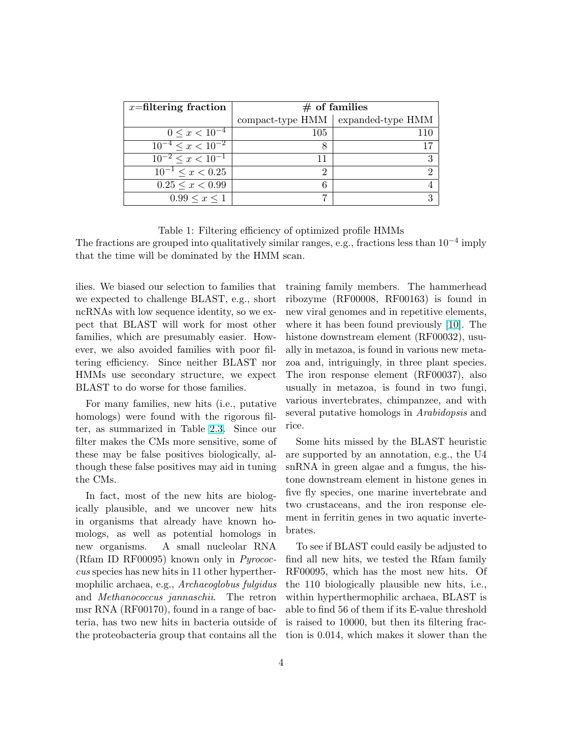<span id="page-3-0"></span>

| $x =$ filtering fraction      | $#$ of families  |                   |  |  |  |
|-------------------------------|------------------|-------------------|--|--|--|
|                               | compact-type HMM | expanded-type HMM |  |  |  |
| $0 \leq x < 10^{-4}$          | 105              |                   |  |  |  |
| $10^{-4} \leq x \leq 10^{-2}$ | 8                |                   |  |  |  |
| $10^{-2} \leq x < 10^{-1}$    | 11               |                   |  |  |  |
| $10^{-1} \leq x < 0.25$       | 2                |                   |  |  |  |
| $0.25 \leq x \leq 0.99$       | 6                |                   |  |  |  |
| $0.99 \leq x \leq 1$          | ⇁                |                   |  |  |  |

Table 1: Filtering efficiency of optimized profile HMMs The fractions are grouped into qualitatively similar ranges, e.g., fractions less than  $10^{-4}$  imply that the time will be dominated by the HMM scan.

ilies. We biased our selection to families that we expected to challenge BLAST, e.g., short ncRNAs with low sequence identity, so we expect that BLAST will work for most other families, which are presumably easier. However, we also avoided families with poor filtering efficiency. Since neither BLAST nor HMMs use secondary structure, we expect BLAST to do worse for those families.

For many families, new hits (i.e., putative homologs) were found with the rigorous filter, as summarized in Table [2.3.](#page-4-0) Since our filter makes the CMs more sensitive, some of these may be false positives biologically, although these false positives may aid in tuning the CMs.

In fact, most of the new hits are biologically plausible, and we uncover new hits in organisms that already have known homologs, as well as potential homologs in new organisms. A small nucleolar RNA (Rfam ID RF00095) known only in Pyrococcus species has new hits in 11 other hyperthermophilic archaea, e.g., Archaeoglobus fulgidus and Methanococcus jannaschii. The retron msr RNA (RF00170), found in a range of bacteria, has two new hits in bacteria outside of the proteobacteria group that contains all the training family members. The hammerhead ribozyme (RF00008, RF00163) is found in new viral genomes and in repetitive elements, where it has been found previously [\[10\]](#page-11-0). The histone downstream element (RF00032), usually in metazoa, is found in various new metazoa and, intriguingly, in three plant species. The iron response element (RF00037), also usually in metazoa, is found in two fungi, various invertebrates, chimpanzee, and with several putative homologs in Arabidopsis and rice.

Some hits missed by the BLAST heuristic are supported by an annotation, e.g., the U4 snRNA in green algae and a fungus, the histone downstream element in histone genes in five fly species, one marine invertebrate and two crustaceans, and the iron response element in ferritin genes in two aquatic invertebrates.

To see if BLAST could easily be adjusted to find all new hits, we tested the Rfam family RF00095, which has the most new hits. Of the 110 biologically plausible new hits, i.e., within hyperthermophilic archaea, BLAST is able to find 56 of them if its E-value threshold is raised to 10000, but then its filtering fraction is 0.014, which makes it slower than the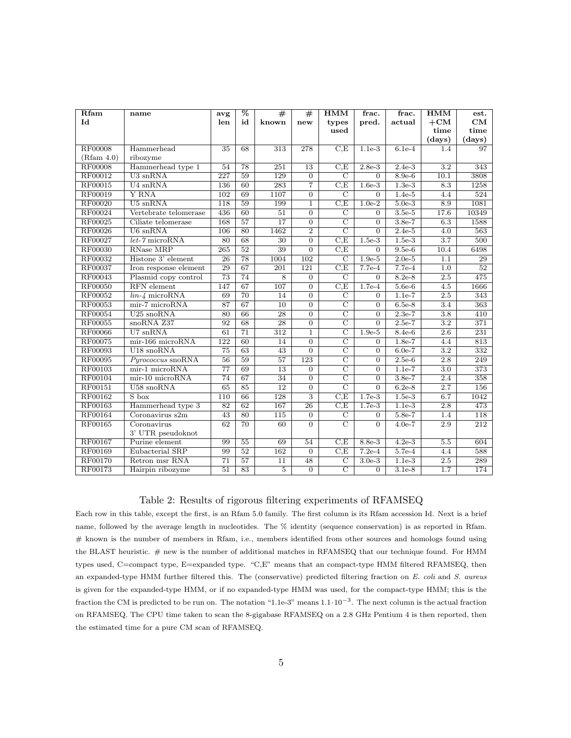<span id="page-4-0"></span>

| Rfam           | name                  | avg              | $\overline{\%}$ | #                | #                         | HMM                       | frac.            | frac.    | HMM              | est.             |
|----------------|-----------------------|------------------|-----------------|------------------|---------------------------|---------------------------|------------------|----------|------------------|------------------|
| Id             |                       | len              | id              | known            | new                       | types                     | pred.            | actual   | $+CM$            | $\mathbf{CM}$    |
|                |                       |                  |                 |                  |                           | used                      |                  |          | time             | time             |
|                |                       |                  |                 |                  |                           |                           |                  |          | (days)           | (days)           |
| <b>RF00008</b> | Hammerhead            | $\overline{35}$  | 68              | $\overline{313}$ | 278                       | $\overline{C,E}$          | $1.1e-3$         | $6.1e-4$ | 1.4              | 97               |
| (Rfam 4.0)     | ribozyme              |                  |                 |                  |                           |                           |                  |          |                  |                  |
| <b>RF00008</b> | Hammerhead type 1     | 54               | 78              | 251              | 13                        | C.E                       | $2.8e-3$         | $2.4e-3$ | $\overline{3.2}$ | 343              |
| RF00012        | U3 snRNA              | $\overline{227}$ | $\overline{59}$ | 129              | $\overline{0}$            | $\overline{C}$            | $\overline{0}$   | $8.9e-6$ | 10.1             | 3808             |
| <b>RF00015</b> | $U4$ snRNA            | 136              | 60              | $\overline{283}$ | $\overline{7}$            | $\overline{\mathrm{C,E}}$ | $1.6e-3$         | $1.3e-3$ | $\overline{8.3}$ | 1258             |
| RF00019        | Y RNA                 | 102              | 69              | 1107             | $\boldsymbol{0}$          | $\overline{C}$            | $\overline{0}$   | $1.4e-5$ | 4.4              | 524              |
| <b>RF00020</b> | $U5$ snRNA            | 118              | 59              | 199              | $\mathbf{1}$              | $\overline{C,E}$          | $1.0e-2$         | $5.0e-3$ | 8.9              | 1081             |
| RF00024        | Vertebrate telomerase | 436              | 60              | 51               | $\overline{0}$            | $\overline{C}$            | $\overline{0}$   | $3.5e-5$ | 17.6             | 10349            |
| RF00025        | Ciliate telomerase    | 168              | $\overline{57}$ | $\overline{17}$  | $\overline{0}$            | $\overline{\mathrm{C}}$   | $\overline{0}$   | $3.8e-7$ | 6.3              | 1588             |
| RF00026        | U6 snRNA              | 106              | 80              | 1462             | $\overline{2}$            | $\overline{C}$            | $\overline{0}$   | $2.4e-5$ | 4.0              | 563              |
| <b>RF00027</b> | $let-7$ microRNA      | $\overline{80}$  | 68              | $\overline{30}$  | $\overline{0}$            | $\overline{C,E}$          | $1.5e-3$         | $1.5e-3$ | $\overline{3.7}$ | 500              |
| <b>RF00030</b> | RNase MRP             | $\overline{265}$ | $\overline{52}$ | $\overline{39}$  | $\overline{0}$            | C, E                      | $\overline{0}$   | $9.5e-6$ | 10.4             | 6498             |
| <b>RF00032</b> | Histone 3' element    | $\overline{26}$  | 78              | 1004             | 102                       | $\overline{C}$            | $1.9e-5$         | $2.0e-5$ | 1.1              | 29               |
| <b>RF00037</b> | Iron response element | 29               | $\overline{67}$ | $\overline{201}$ | $\overline{121}$          | $\overline{C,E}$          | $7.7e-4$         | $7.7e-4$ | $\overline{1.0}$ | $\overline{52}$  |
| <b>RF00043</b> | Plasmid copy control  | $\overline{73}$  | 74              | $\overline{8}$   | $\overline{0}$            | $\overline{\mathrm{C}}$   | $\overline{0}$   | $8.2e-8$ | $\overline{2.5}$ | 475              |
| <b>RF00050</b> | RFN element           | 147              | 67              | 107              | $\overline{0}$            | $\overline{C,E}$          | $1.7e-4$         | $5.6e-6$ | 4.5              | 1666             |
| <b>RF00052</b> | $lin-4$ microRNA      | 69               | $\overline{70}$ | 14               | $\overline{0}$            | $\overline{C}$            | $\overline{0}$   | $1.1e-7$ | $\overline{2.5}$ | 343              |
| <b>RF00053</b> | mir-7 microRNA        | $\overline{87}$  | $\overline{67}$ | $\overline{10}$  | $\overline{0}$            | $\overline{\rm C}$        | $\overline{0}$   | $6.5e-8$ | $\overline{3.4}$ | 363              |
| <b>RF00054</b> | $U25$ sno $RNA$       | 80               | 66              | $\overline{28}$  | $\overline{0}$            | $\overline{\rm c}$        | $\overline{0}$   | $2.3e-7$ | $\overline{3.8}$ | 410              |
| <b>RF00055</b> | snoRNA Z37            | 92               | 68              | $\overline{28}$  | $\overline{0}$            | $\overline{C}$            | $\overline{0}$   | $2.5e-7$ | $\overline{3.2}$ | $\overline{371}$ |
| <b>RF00066</b> | $U7$ snRNA            | 61               | $\overline{71}$ | $\overline{312}$ | $\overline{1}$            | $\overline{\mathrm{C}}$   | $1.9e-5$         | $8.4e-6$ | $\overline{2.6}$ | 231              |
| <b>RF00075</b> | $mir-166$ micro $RNA$ | $\overline{122}$ | $\overline{60}$ | 14               | $\overline{0}$            | $\overline{\mathrm{C}}$   | $\overline{0}$   | $1.8e-7$ | 4.4              | $\overline{813}$ |
| RF00093        | U18 snoRNA            | 75               | 63              | 43               | $\overline{0}$            | $\overline{C}$            | $\boldsymbol{0}$ | $6.0e-7$ | $\overline{3.2}$ | 332              |
| <b>RF00095</b> | Pyrococcus snoRNA     | $\overline{56}$  | $\overline{59}$ | $\overline{57}$  | 123                       | $\overline{C}$            | $\overline{0}$   | $2.5e-6$ | 2.8              | 249              |
| <b>RF00103</b> | mir-1 microRNA        | $\overline{77}$  | $\overline{69}$ | $\overline{13}$  | $\boldsymbol{0}$          | $\overline{\mathrm{C}}$   | $\boldsymbol{0}$ | $1.1e-7$ | $\overline{3.0}$ | $\overline{373}$ |
| RF00104        | mir-10 microRNA       | 74               | 67              | 34               | $\boldsymbol{0}$          | $\overline{C}$            | $\overline{0}$   | $3.8e-7$ | 2.4              | 358              |
| RF00151        | U58 snoRNA            | 65               | 85              | $\overline{12}$  | $\overline{0}$            | $\overline{C}$            | $\Omega$         | $6.2e-8$ | 2.7              | 156              |
| <b>RF00162</b> | S <sub>box</sub>      | 110              | $\overline{66}$ | 128              | $\overline{\overline{3}}$ | $\overline{C,E}$          | $1.7e-3$         | $1.5e-3$ | 6.7              | 1042             |
| <b>RF00163</b> | Hammerhead type 3     | $\overline{82}$  | $\overline{62}$ | 167              | $\overline{26}$           | C, E                      | $1.7e-3$         | $1.1e-3$ | 2.8              | 473              |
| RF00164        | Coronavirus s2m       | 43               | 80              | 115              | $\overline{0}$            | $\overline{C}$            | $\overline{0}$   | $5.8e-7$ | 1.4              | 118              |
| <b>RF00165</b> | Coronavirus           | $\overline{62}$  | $\overline{70}$ | 60               | $\overline{0}$            | $\overline{C}$            | $\Omega$         | $4.0e-7$ | $\overline{2.9}$ | 212              |
|                | 3' UTR pseudoknot     |                  |                 |                  |                           |                           |                  |          |                  |                  |
| <b>RF00167</b> | Purine element        | 99               | 55              | 69               | 54                        | C, E                      | 8.8e-3           | $4.2e-3$ | $5.5\,$          | 604              |
| <b>RF00169</b> | Eubacterial SRP       | 99               | $\overline{52}$ | 162              | $\boldsymbol{0}$          | C.E                       | $7.2e-4$         | $5.7e-4$ | 4.4              | 588              |
| <b>RF00170</b> | Retron msr RNA        | $\overline{71}$  | $\overline{57}$ | $\overline{11}$  | 48                        | $\overline{C}$            | $3.0e-3$         | $1.1e-3$ | $\overline{2.5}$ | 289              |
| RF00173        | Hairpin ribozyme      | $\overline{51}$  | $\overline{83}$ | 5                | $\boldsymbol{0}$          | $\overline{C}$            | $\boldsymbol{0}$ | $3.1e-8$ | $\overline{1.7}$ | 174              |

#### Table 2: Results of rigorous filtering experiments of RFAMSEQ

Each row in this table, except the first, is an Rfam 5.0 family. The first column is its Rfam accession Id. Next is a brief name, followed by the average length in nucleotides. The % identity (sequence conservation) is as reported in Rfam. # known is the number of members in Rfam, i.e., members identified from other sources and homologs found using the BLAST heuristic. # new is the number of additional matches in RFAMSEQ that our technique found. For HMM types used, C=compact type, E=expanded type. "C,E" means that an compact-type HMM filtered RFAMSEQ, then an expanded-type HMM further filtered this. The (conservative) predicted filtering fraction on E. coli and S. aureus is given for the expanded-type HMM, or if no expanded-type HMM was used, for the compact-type HMM; this is the fraction the CM is predicted to be run on. The notation "1.1e-3" means  $1.1 \cdot 10^{-3}$ . The next column is the actual fraction on RFAMSEQ. The CPU time taken to scan the 8-gigabase RFAMSEQ on a 2.8 GHz Pentium 4 is then reported, then the estimated time for a pure CM scan of RFAMSEQ.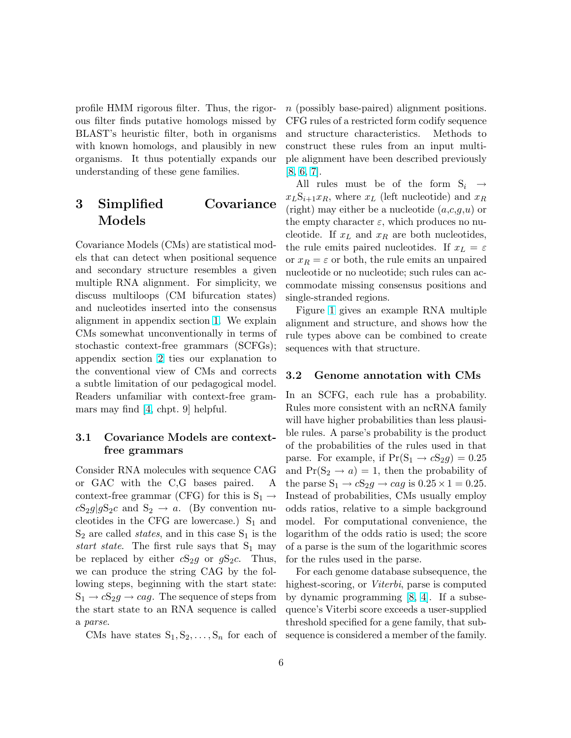<span id="page-5-0"></span>profile HMM rigorous filter. Thus, the rigorous filter finds putative homologs missed by BLAST's heuristic filter, both in organisms with known homologs, and plausibly in new organisms. It thus potentially expands our understanding of these gene families.

## 3 Simplified Covariance Models

Covariance Models (CMs) are statistical models that can detect when positional sequence and secondary structure resembles a given multiple RNA alignment. For simplicity, we discuss multiloops (CM bifurcation states) and nucleotides inserted into the consensus alignment in appendix section [1.](#page-13-0) We explain CMs somewhat unconventionally in terms of stochastic context-free grammars (SCFGs); appendix section [2](#page-13-0) ties our explanation to the conventional view of CMs and corrects a subtle limitation of our pedagogical model. Readers unfamiliar with context-free grammars may find [\[4,](#page-11-0) chpt. 9] helpful.

#### 3.1 Covariance Models are contextfree grammars

Consider RNA molecules with sequence CAG or GAC with the C,G bases paired. A context-free grammar (CFG) for this is  $S_1 \rightarrow$  $cS_2g|gS_2c$  and  $S_2 \rightarrow a$ . (By convention nucleotides in the CFG are lowercase.)  $S_1$  and  $S_2$  are called *states*, and in this case  $S_1$  is the start state. The first rule says that  $S_1$  may be replaced by either  $cS_2g$  or  $gS_2c$ . Thus, we can produce the string CAG by the following steps, beginning with the start state:  $S_1 \rightarrow cS_2g \rightarrow cag$ . The sequence of steps from the start state to an RNA sequence is called a parse.

n (possibly base-paired) alignment positions. CFG rules of a restricted form codify sequence and structure characteristics. Methods to construct these rules from an input multiple alignment have been described previously [\[8,](#page-11-0) [6,](#page-11-0) [7\]](#page-11-0).

All rules must be of the form  $S_i \rightarrow$  $x_LS_{i+1}x_R$ , where  $x_L$  (left nucleotide) and  $x_R$ (right) may either be a nucleotide  $(a,c,g,u)$  or the empty character  $\varepsilon$ , which produces no nucleotide. If  $x_L$  and  $x_R$  are both nucleotides, the rule emits paired nucleotides. If  $x_L = \varepsilon$ or  $x_R = \varepsilon$  or both, the rule emits an unpaired nucleotide or no nucleotide; such rules can accommodate missing consensus positions and single-stranded regions.

Figure [1](#page-6-0) gives an example RNA multiple alignment and structure, and shows how the rule types above can be combined to create sequences with that structure.

#### 3.2 Genome annotation with CMs

In an SCFG, each rule has a probability. Rules more consistent with an ncRNA family will have higher probabilities than less plausible rules. A parse's probability is the product of the probabilities of the rules used in that parse. For example, if  $Pr(S_1 \rightarrow cS_2 g) = 0.25$ and  $Pr(S_2 \rightarrow a) = 1$ , then the probability of the parse  $S_1 \rightarrow cS_2g \rightarrow caq$  is  $0.25 \times 1 = 0.25$ . Instead of probabilities, CMs usually employ odds ratios, relative to a simple background model. For computational convenience, the logarithm of the odds ratio is used; the score of a parse is the sum of the logarithmic scores for the rules used in the parse.

CMs have states  $S_1, S_2, \ldots, S_n$  for each of sequence is considered a member of the family. For each genome database subsequence, the highest-scoring, or Viterbi, parse is computed by dynamic programming [\[8,](#page-11-0) [4\]](#page-11-0). If a subsequence's Viterbi score exceeds a user-supplied threshold specified for a gene family, that sub-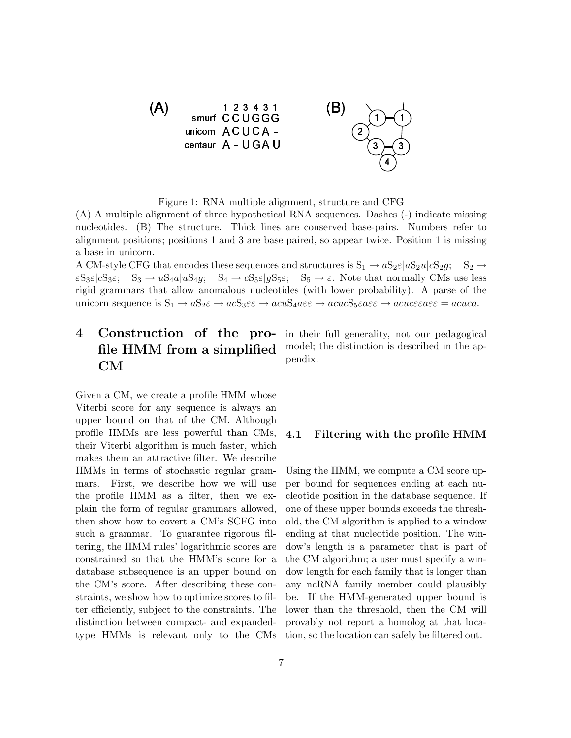<span id="page-6-0"></span>

Figure 1: RNA multiple alignment, structure and CFG

(A) A multiple alignment of three hypothetical RNA sequences. Dashes (-) indicate missing nucleotides. (B) The structure. Thick lines are conserved base-pairs. Numbers refer to alignment positions; positions 1 and 3 are base paired, so appear twice. Position 1 is missing a base in unicorn.

A CM-style CFG that encodes these sequences and structures is  $S_1 \to aS_2\varepsilon |aS_2u|cS_2g; S_2 \to$  $\epsilon S_3 \epsilon | c S_3 \epsilon$ ;  $S_3 \to u S_4 a | u S_4 g$ ;  $S_4 \to c S_5 \epsilon | g S_5 \epsilon$ ;  $S_5 \to \epsilon$ . Note that normally CMs use less rigid grammars that allow anomalous nucleotides (with lower probability). A parse of the unicorn sequence is  $S_1 \rightarrow aS_2\varepsilon \rightarrow acS_3\varepsilon\varepsilon \rightarrow acuS_4a\varepsilon\varepsilon \rightarrow acucS_5\varepsilon a\varepsilon\varepsilon \rightarrow acucc \varepsilon a\varepsilon\varepsilon = acu\overline{c}a$ .

## 4 Construction of the pro- in their full generality, not our pedagogical file HMM from a simplified  $\mathbf{CM}$

Given a CM, we create a profile HMM whose Viterbi score for any sequence is always an upper bound on that of the CM. Although profile HMMs are less powerful than CMs, their Viterbi algorithm is much faster, which makes them an attractive filter. We describe HMMs in terms of stochastic regular grammars. First, we describe how we will use the profile HMM as a filter, then we explain the form of regular grammars allowed, then show how to covert a CM's SCFG into such a grammar. To guarantee rigorous filtering, the HMM rules' logarithmic scores are constrained so that the HMM's score for a database subsequence is an upper bound on the CM's score. After describing these constraints, we show how to optimize scores to filter efficiently, subject to the constraints. The distinction between compact- and expandedtype HMMs is relevant only to the CMs model; the distinction is described in the appendix.

#### 4.1 Filtering with the profile HMM

Using the HMM, we compute a CM score upper bound for sequences ending at each nucleotide position in the database sequence. If one of these upper bounds exceeds the threshold, the CM algorithm is applied to a window ending at that nucleotide position. The window's length is a parameter that is part of the CM algorithm; a user must specify a window length for each family that is longer than any ncRNA family member could plausibly be. If the HMM-generated upper bound is lower than the threshold, then the CM will provably not report a homolog at that location, so the location can safely be filtered out.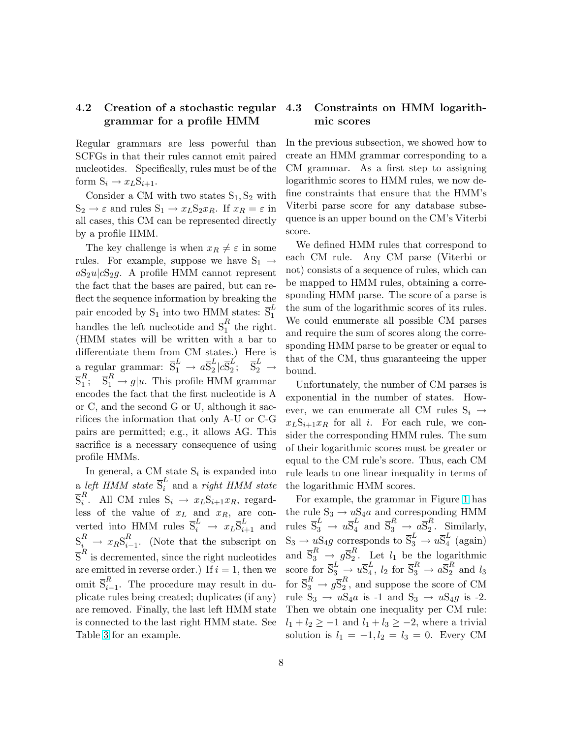#### <span id="page-7-0"></span>4.2 Creation of a stochastic regular grammar for a profile HMM

Regular grammars are less powerful than SCFGs in that their rules cannot emit paired nucleotides. Specifically, rules must be of the form  $S_i \rightarrow x_L S_{i+1}$ .

Consider a CM with two states  $S_1, S_2$  with  $S_2 \rightarrow \varepsilon$  and rules  $S_1 \rightarrow x_L S_2 x_R$ . If  $x_R = \varepsilon$  in all cases, this CM can be represented directly by a profile HMM.

The key challenge is when  $x_R \neq \varepsilon$  in some rules. For example, suppose we have  $S_1 \rightarrow$  $aS_2u|cS_2g$ . A profile HMM cannot represent the fact that the bases are paired, but can reflect the sequence information by breaking the pair encoded by  $S_1$  into two HMM states:  $\overline{S}_1^L$ 1 handles the left nucleotide and  $\bar{S}_1^R$  $\int_{1}^{n}$  the right. (HMM states will be written with a bar to differentiate them from CM states.) Here is a regular grammar:  $\overline{S}_1^L \rightarrow a \overline{S}_2^L$  $\frac{L}{2}|c\overline{\text{S}}^L_2$  $\frac{L}{2}$ ;  $\overline{S}_2^L \rightarrow$  $\overline{\mathrm{S}}_1^R$  $\overline{S}_1^R \rightarrow g|u$ . This profile HMM grammar encodes the fact that the first nucleotide is A or C, and the second G or U, although it sacrifices the information that only A-U or C-G pairs are permitted; e.g., it allows AG. This sacrifice is a necessary consequence of using profile HMMs.

In general, a CM state  $S_i$  is expanded into a left HMM state  $\overline{S}_{i}^{L}$  and a right HMM state  $\overline{\mathrm{S}}_i^R$ <sup>n</sup>. All CM rules  $S_i \rightarrow x_L S_{i+1} x_R$ , regardless of the value of  $x_L$  and  $x_R$ , are converted into HMM rules  $\overline{S}_i^L \rightarrow x_L \overline{S}_{i+1}^L$  and  $\overline{S}_i^R \rightarrow x_R \overline{S}_{i}^R$  $\sum_{i=1}^{n}$ . (Note that the subscript on  $\bar{S}^R$  is decremented, since the right nucleotides are emitted in reverse order.) If  $i = 1$ , then we omit  $\overline{S}_{i}^R$  $\sum_{i=1}^{n}$ . The procedure may result in duplicate rules being created; duplicates (if any) are removed. Finally, the last left HMM state is connected to the last right HMM state. See Table [3](#page-8-0) for an example.

#### Constraints on HMM logarithmic scores

In the previous subsection, we showed how to create an HMM grammar corresponding to a CM grammar. As a first step to assigning logarithmic scores to HMM rules, we now define constraints that ensure that the HMM's Viterbi parse score for any database subsequence is an upper bound on the CM's Viterbi score.

We defined HMM rules that correspond to each CM rule. Any CM parse (Viterbi or not) consists of a sequence of rules, which can be mapped to HMM rules, obtaining a corresponding HMM parse. The score of a parse is the sum of the logarithmic scores of its rules. We could enumerate all possible CM parses and require the sum of scores along the corresponding HMM parse to be greater or equal to that of the CM, thus guaranteeing the upper bound.

Unfortunately, the number of CM parses is exponential in the number of states. However, we can enumerate all CM rules  $S_i \rightarrow$  $x_LS_{i+1}x_R$  for all i. For each rule, we consider the corresponding HMM rules. The sum of their logarithmic scores must be greater or equal to the CM rule's score. Thus, each CM rule leads to one linear inequality in terms of the logarithmic HMM scores.

For example, the grammar in Figure [1](#page-6-0) has the rule  $S_3 \rightarrow uS_4a$  and corresponding HMM rules  $\overline{S}_3^L \rightarrow u \overline{S}_4^L$  and  $\overline{S}_3^R \rightarrow a \overline{S}_2^R$  $\frac{n}{2}$ . Similarly,  $S_3 \rightarrow uS_4g$  corresponds to  $\overline{S}_3^L \rightarrow u\overline{S}_4^L$  $\frac{L}{4}$  (again) and  $\overline{S}_3^R \rightarrow g \overline{S}_2^R$  $\frac{n}{2}$ . Let  $l_1$  be the logarithmic score for  $\overline{S}_3^L \rightarrow u \overline{S}_4^L$  $\frac{L}{4}$ ,  $l_2$  for  $\overline{S}_3^R \rightarrow a \overline{S}_2^R$  and  $l_3$ for  $\overline{S}_3^R \rightarrow g \overline{S}_2^R$  $\frac{\pi}{2}$ , and suppose the score of CM rule  $S_3 \rightarrow uS_4a$  is -1 and  $S_3 \rightarrow uS_4g$  is -2. Then we obtain one inequality per CM rule:  $l_1 + l_2 \geq -1$  and  $l_1 + l_3 \geq -2$ , where a trivial solution is  $l_1 = -1, l_2 = l_3 = 0$ . Every CM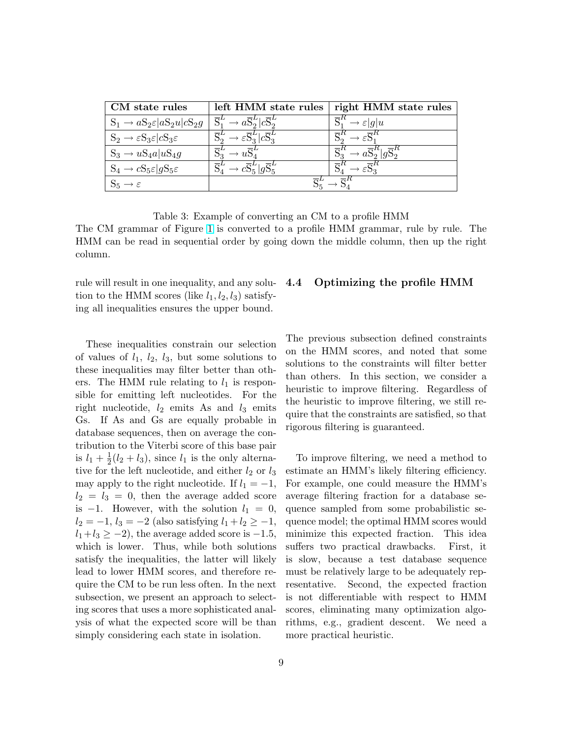<span id="page-8-0"></span>

| CM state rules                                                    | left HMM state rules                                                          | right HMM state rules                                                           |
|-------------------------------------------------------------------|-------------------------------------------------------------------------------|---------------------------------------------------------------------------------|
| $S_1 \rightarrow aS_2\varepsilon  aS_2u cS_2g$                    | $\rightarrow a\overline{S}_{2}^{L} c\overline{S}_{2}^{L}$                     | $\overline{S}^R$<br>$\rightarrow \varepsilon  g u$                              |
| $S_2 \rightarrow \varepsilon S_3 \varepsilon   c S_3 \varepsilon$ | $\rightarrow \varepsilon \overline{\text{S}}_3^L   c \overline{\text{S}}_3^L$ | $\overline{\alpha}^{\mathcal{R}}$<br>$\rightarrow \varepsilon \overline{S}_1^R$ |
| $S_3 \rightarrow uS_4a uS_4g$                                     | $\rightarrow u\overline{S}_{4}^{\mu}$                                         | $\overline{\alpha}^R$                                                           |
| $S_4 \rightarrow cS_5\varepsilon   gS_5\varepsilon  $             |                                                                               | $\overline{\alpha}^R$<br>$\rightarrow \varepsilon \overline{S}^R$               |
| $55 \rightarrow \varepsilon$                                      |                                                                               |                                                                                 |

Table 3: Example of converting an CM to a profile HMM

The CM grammar of Figure [1](#page-6-0) is converted to a profile HMM grammar, rule by rule. The HMM can be read in sequential order by going down the middle column, then up the right column.

rule will result in one inequality, and any solution to the HMM scores (like  $l_1, l_2, l_3$ ) satisfying all inequalities ensures the upper bound.

These inequalities constrain our selection of values of  $l_1$ ,  $l_2$ ,  $l_3$ , but some solutions to these inequalities may filter better than others. The HMM rule relating to  $l_1$  is responsible for emitting left nucleotides. For the right nucleotide,  $l_2$  emits As and  $l_3$  emits Gs. If As and Gs are equally probable in database sequences, then on average the contribution to the Viterbi score of this base pair is  $l_1 + \frac{1}{2}$  $\frac{1}{2}(l_2 + l_3)$ , since  $l_1$  is the only alternative for the left nucleotide, and either  $l_2$  or  $l_3$ may apply to the right nucleotide. If  $l_1 = -1$ ,  $l_2 = l_3 = 0$ , then the average added score is  $-1$ . However, with the solution  $l_1 = 0$ ,  $l_2 = -1, l_3 = -2$  (also satisfying  $l_1 + l_2 \geq -1$ ,  $l_1+l_3 \geq -2$ ), the average added score is  $-1.5$ , which is lower. Thus, while both solutions satisfy the inequalities, the latter will likely lead to lower HMM scores, and therefore require the CM to be run less often. In the next subsection, we present an approach to selecting scores that uses a more sophisticated analysis of what the expected score will be than simply considering each state in isolation.

#### 4.4 Optimizing the profile HMM

The previous subsection defined constraints on the HMM scores, and noted that some solutions to the constraints will filter better than others. In this section, we consider a heuristic to improve filtering. Regardless of the heuristic to improve filtering, we still require that the constraints are satisfied, so that rigorous filtering is guaranteed.

To improve filtering, we need a method to estimate an HMM's likely filtering efficiency. For example, one could measure the HMM's average filtering fraction for a database sequence sampled from some probabilistic sequence model; the optimal HMM scores would minimize this expected fraction. This idea suffers two practical drawbacks. First, it is slow, because a test database sequence must be relatively large to be adequately representative. Second, the expected fraction is not differentiable with respect to HMM scores, eliminating many optimization algorithms, e.g., gradient descent. We need a more practical heuristic.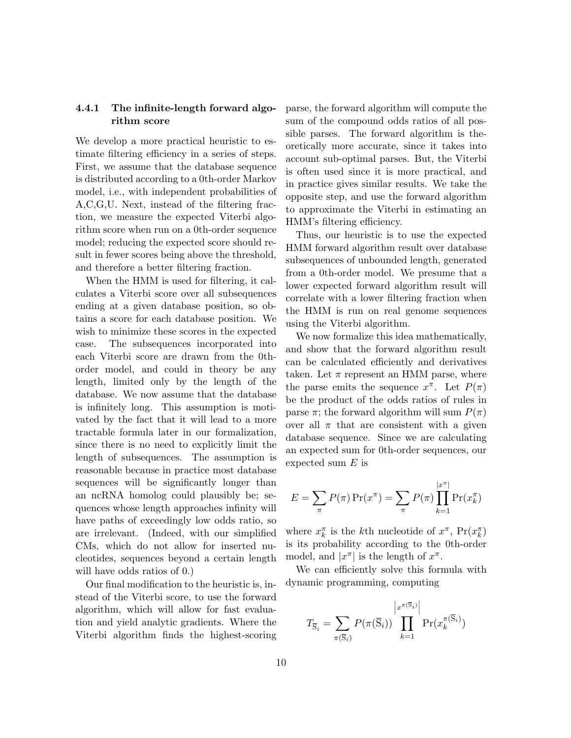#### 4.4.1 The infinite-length forward algorithm score

We develop a more practical heuristic to estimate filtering efficiency in a series of steps. First, we assume that the database sequence is distributed according to a 0th-order Markov model, i.e., with independent probabilities of A,C,G,U. Next, instead of the filtering fraction, we measure the expected Viterbi algorithm score when run on a 0th-order sequence model; reducing the expected score should result in fewer scores being above the threshold, and therefore a better filtering fraction.

When the HMM is used for filtering, it calculates a Viterbi score over all subsequences ending at a given database position, so obtains a score for each database position. We wish to minimize these scores in the expected case. The subsequences incorporated into each Viterbi score are drawn from the 0thorder model, and could in theory be any length, limited only by the length of the database. We now assume that the database is infinitely long. This assumption is motivated by the fact that it will lead to a more tractable formula later in our formalization, since there is no need to explicitly limit the length of subsequences. The assumption is reasonable because in practice most database sequences will be significantly longer than an ncRNA homolog could plausibly be; sequences whose length approaches infinity will have paths of exceedingly low odds ratio, so are irrelevant. (Indeed, with our simplified CMs, which do not allow for inserted nucleotides, sequences beyond a certain length will have odds ratios of 0.)

Our final modification to the heuristic is, instead of the Viterbi score, to use the forward algorithm, which will allow for fast evaluation and yield analytic gradients. Where the Viterbi algorithm finds the highest-scoring

parse, the forward algorithm will compute the sum of the compound odds ratios of all possible parses. The forward algorithm is theoretically more accurate, since it takes into account sub-optimal parses. But, the Viterbi is often used since it is more practical, and in practice gives similar results. We take the opposite step, and use the forward algorithm to approximate the Viterbi in estimating an HMM's filtering efficiency.

Thus, our heuristic is to use the expected HMM forward algorithm result over database subsequences of unbounded length, generated from a 0th-order model. We presume that a lower expected forward algorithm result will correlate with a lower filtering fraction when the HMM is run on real genome sequences using the Viterbi algorithm.

We now formalize this idea mathematically, and show that the forward algorithm result can be calculated efficiently and derivatives taken. Let  $\pi$  represent an HMM parse, where the parse emits the sequence  $x^{\pi}$ . Let  $P(\pi)$ be the product of the odds ratios of rules in parse  $\pi$ ; the forward algorithm will sum  $P(\pi)$ over all  $\pi$  that are consistent with a given database sequence. Since we are calculating an expected sum for 0th-order sequences, our expected sum  $E$  is

$$
E = \sum_{\pi} P(\pi) \Pr(x^{\pi}) = \sum_{\pi} P(\pi) \prod_{k=1}^{|x^{\pi}|} \Pr(x_k^{\pi})
$$

where  $x_k^{\pi}$  is the *k*<sup>th</sup> nucleotide of  $x^{\pi}$ ,  $Pr(x_k^{\pi})$ is its probability according to the 0th-order model, and  $|x^{\pi}|$  is the length of  $x^{\pi}$ .

We can efficiently solve this formula with dynamic programming, computing

$$
T_{\overline{\mathbf{S}}_i} = \sum_{\pi(\overline{\mathbf{S}}_i)} P(\pi(\overline{\mathbf{S}}_i)) \prod_{k=1}^{\left|x^{\pi(\overline{\mathbf{S}}_i)}\right|} \Pr(x_k^{\pi(\overline{\mathbf{S}}_i)})
$$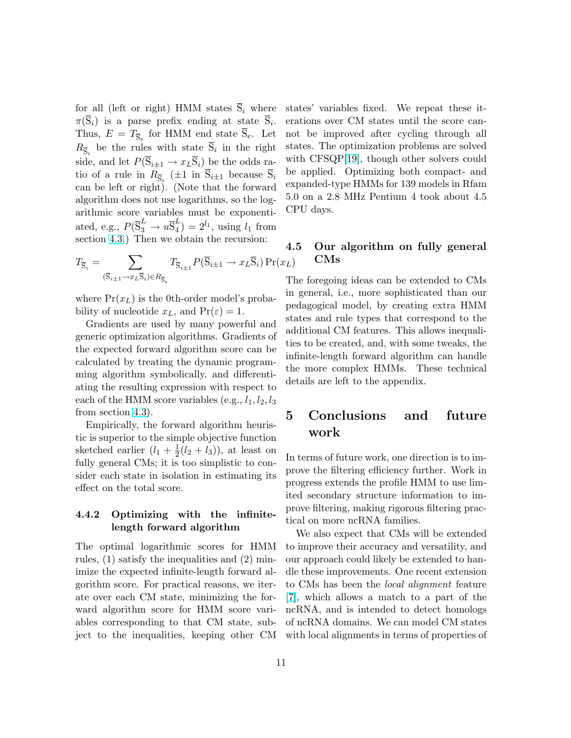<span id="page-10-0"></span>for all (left or right) HMM states  $\overline{S}_i$  where  $\pi(\bar{S}_i)$  is a parse prefix ending at state  $\bar{S}_i$ . Thus,  $E = T_{\overline{S}_e}$  for HMM end state  $\overline{S}_e$ . Let  $R_{\overline{S}_i}$  be the rules with state  $\overline{S}_i$  in the right side, and let  $P(\overline{S}_{i\pm 1} \to x_L \overline{S}_i)$  be the odds ratio of a rule in  $R_{\overline{S}_i}$  ( $\pm 1$  in  $\overline{S}_{i\pm 1}$  because  $\overline{S}_i$ can be left or right). (Note that the forward algorithm does not use logarithms, so the logarithmic score variables must be exponentiated, e.g.,  $P(\overline{S}_3^L \rightarrow u\overline{S}_4^L)$  $_4^L$ ) =  $2^{l_1}$ , using  $l_1$  from section [4.3.](#page-7-0)) Then we obtain the recursion:

$$
T_{\overline{S}_i} = \sum_{\substack{(\overline{S}_{i\pm 1} \to x_L \overline{S}_i) \in R_{\overline{S}_i}}} T_{\overline{S}_{i\pm 1}} P(\overline{S}_{i\pm 1} \to x_L \overline{S}_i) \Pr(x_L)
$$

where  $Pr(x_L)$  is the 0th-order model's probability of nucleotide  $x_L$ , and  $Pr(\varepsilon) = 1$ .

Gradients are used by many powerful and generic optimization algorithms. Gradients of the expected forward algorithm score can be calculated by treating the dynamic programming algorithm symbolically, and differentiating the resulting expression with respect to each of the HMM score variables (e.g.,  $l_1, l_2, l_3$ ) from section [4.3\)](#page-7-0).

Empirically, the forward algorithm heuristic is superior to the simple objective function sketched earlier  $(l_1 + \frac{1}{2})$  $\frac{1}{2}(l_2 + l_3)$ , at least on fully general CMs; it is too simplistic to consider each state in isolation in estimating its effect on the total score.

### 4.4.2 Optimizing with the infinitelength forward algorithm

The optimal logarithmic scores for HMM rules, (1) satisfy the inequalities and (2) minimize the expected infinite-length forward algorithm score. For practical reasons, we iterate over each CM state, minimizing the forward algorithm score for HMM score variables corresponding to that CM state, subject to the inequalities, keeping other CM states' variables fixed. We repeat these iterations over CM states until the score cannot be improved after cycling through all states. The optimization problems are solved with CFSQP[\[19\]](#page-12-0), though other solvers could be applied. Optimizing both compact- and expanded-type HMMs for 139 models in Rfam 5.0 on a 2.8 MHz Pentium 4 took about 4.5 CPU days.

### 4.5 Our algorithm on fully general CMs

The foregoing ideas can be extended to CMs in general, i.e., more sophisticated than our pedagogical model, by creating extra HMM states and rule types that correspond to the additional CM features. This allows inequalities to be created, and, with some tweaks, the infinite-length forward algorithm can handle the more complex HMMs. These technical details are left to the appendix.

## 5 Conclusions and future work

In terms of future work, one direction is to improve the filtering efficiency further. Work in progress extends the profile HMM to use limited secondary structure information to improve filtering, making rigorous filtering practical on more ncRNA families.

We also expect that CMs will be extended to improve their accuracy and versatility, and our approach could likely be extended to handle these improvements. One recent extension to CMs has been the local alignment feature [\[7\]](#page-11-0), which allows a match to a part of the ncRNA, and is intended to detect homologs of ncRNA domains. We can model CM states with local alignments in terms of properties of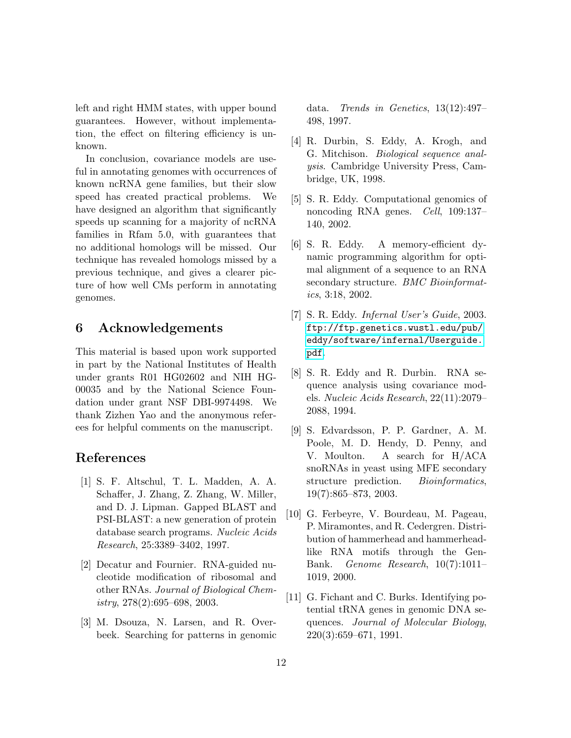<span id="page-11-0"></span>left and right HMM states, with upper bound guarantees. However, without implementation, the effect on filtering efficiency is unknown.

In conclusion, covariance models are useful in annotating genomes with occurrences of known ncRNA gene families, but their slow speed has created practical problems. We have designed an algorithm that significantly speeds up scanning for a majority of ncRNA families in Rfam 5.0, with guarantees that no additional homologs will be missed. Our technique has revealed homologs missed by a previous technique, and gives a clearer picture of how well CMs perform in annotating genomes.

### 6 Acknowledgements

This material is based upon work supported in part by the National Institutes of Health under grants R01 HG02602 and NIH HG-00035 and by the National Science Foundation under grant NSF DBI-9974498. We thank Zizhen Yao and the anonymous referees for helpful comments on the manuscript.

## References

- [1] S. F. Altschul, T. L. Madden, A. A. Schaffer, J. Zhang, Z. Zhang, W. Miller, and D. J. Lipman. Gapped BLAST and PSI-BLAST: a new generation of protein database search programs. Nucleic Acids Research, 25:3389–3402, 1997.
- [2] Decatur and Fournier. RNA-guided nucleotide modification of ribosomal and other RNAs. Journal of Biological Chem $istry, 278(2): 695–698, 2003.$
- [3] M. Dsouza, N. Larsen, and R. Overbeek. Searching for patterns in genomic

data. Trends in Genetics, 13(12):497– 498, 1997.

- [4] R. Durbin, S. Eddy, A. Krogh, and G. Mitchison. Biological sequence analysis. Cambridge University Press, Cambridge, UK, 1998.
- [5] S. R. Eddy. Computational genomics of noncoding RNA genes. Cell, 109:137– 140, 2002.
- [6] S. R. Eddy. A memory-efficient dynamic programming algorithm for optimal alignment of a sequence to an RNA secondary structure. BMC Bioinformatics, 3:18, 2002.
- [7] S. R. Eddy. Infernal User's Guide, 2003. [ftp://ftp.genetics.wustl.edu/pub/](ftp://ftp.genetics.wustl.edu/pub/eddy/software/infernal/Userguide.pdf) [eddy/software/infernal/Userguide.](ftp://ftp.genetics.wustl.edu/pub/eddy/software/infernal/Userguide.pdf) [pdf](ftp://ftp.genetics.wustl.edu/pub/eddy/software/infernal/Userguide.pdf).
- [8] S. R. Eddy and R. Durbin. RNA sequence analysis using covariance models. Nucleic Acids Research, 22(11):2079– 2088, 1994.
- [9] S. Edvardsson, P. P. Gardner, A. M. Poole, M. D. Hendy, D. Penny, and V. Moulton. A search for H/ACA snoRNAs in yeast using MFE secondary structure prediction. Bioinformatics, 19(7):865–873, 2003.
- [10] G. Ferbeyre, V. Bourdeau, M. Pageau, P. Miramontes, and R. Cedergren. Distribution of hammerhead and hammerheadlike RNA motifs through the Gen-Bank. Genome Research, 10(7):1011– 1019, 2000.
- [11] G. Fichant and C. Burks. Identifying potential tRNA genes in genomic DNA sequences. Journal of Molecular Biology, 220(3):659–671, 1991.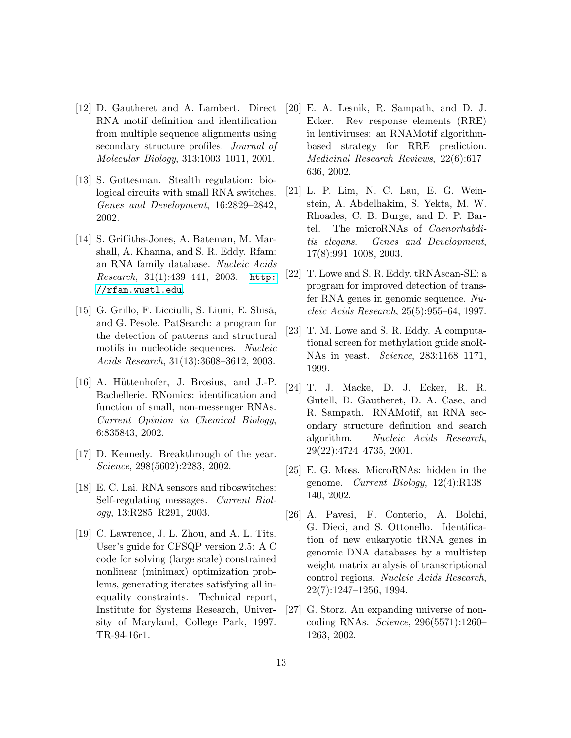- <span id="page-12-0"></span>[12] D. Gautheret and A. Lambert. Direct RNA motif definition and identification from multiple sequence alignments using secondary structure profiles. Journal of Molecular Biology, 313:1003–1011, 2001.
- [13] S. Gottesman. Stealth regulation: biological circuits with small RNA switches. Genes and Development, 16:2829–2842, 2002.
- [14] S. Griffiths-Jones, A. Bateman, M. Marshall, A. Khanna, and S. R. Eddy. Rfam: an RNA family database. Nucleic Acids  $Research, 31(1):439-441, 2003. http:$  $Research, 31(1):439-441, 2003. http:$ [//rfam.wustl.edu](http://rfam.wustl.edu).
- $[15]$  G. Grillo, F. Licciulli, S. Liuni, E. Sbisà, and G. Pesole. PatSearch: a program for the detection of patterns and structural motifs in nucleotide sequences. Nucleic Acids Research, 31(13):3608–3612, 2003.
- [16] A. Hüttenhofer, J. Brosius, and J.-P. Bachellerie. RNomics: identification and function of small, non-messenger RNAs. Current Opinion in Chemical Biology, 6:835843, 2002.
- [17] D. Kennedy. Breakthrough of the year. Science, 298(5602):2283, 2002.
- [18] E. C. Lai. RNA sensors and riboswitches: Self-regulating messages. Current Biology, 13:R285–R291, 2003.
- [19] C. Lawrence, J. L. Zhou, and A. L. Tits. User's guide for CFSQP version 2.5: A C code for solving (large scale) constrained nonlinear (minimax) optimization problems, generating iterates satisfying all inequality constraints. Technical report, Institute for Systems Research, University of Maryland, College Park, 1997. TR-94-16r1.
- [20] E. A. Lesnik, R. Sampath, and D. J. Ecker. Rev response elements (RRE) in lentiviruses: an RNAMotif algorithmbased strategy for RRE prediction. Medicinal Research Reviews, 22(6):617– 636, 2002.
- [21] L. P. Lim, N. C. Lau, E. G. Weinstein, A. Abdelhakim, S. Yekta, M. W. Rhoades, C. B. Burge, and D. P. Bartel. The microRNAs of Caenorhabditis elegans. Genes and Development, 17(8):991–1008, 2003.
- [22] T. Lowe and S. R. Eddy. tRNAscan-SE: a program for improved detection of transfer RNA genes in genomic sequence. Nucleic Acids Research, 25(5):955–64, 1997.
- [23] T. M. Lowe and S. R. Eddy. A computational screen for methylation guide snoR-NAs in yeast. Science, 283:1168–1171, 1999.
- [24] T. J. Macke, D. J. Ecker, R. R. Gutell, D. Gautheret, D. A. Case, and R. Sampath. RNAMotif, an RNA secondary structure definition and search algorithm. Nucleic Acids Research, 29(22):4724–4735, 2001.
- [25] E. G. Moss. MicroRNAs: hidden in the genome. Current Biology, 12(4):R138– 140, 2002.
- [26] A. Pavesi, F. Conterio, A. Bolchi, G. Dieci, and S. Ottonello. Identification of new eukaryotic tRNA genes in genomic DNA databases by a multistep weight matrix analysis of transcriptional control regions. Nucleic Acids Research, 22(7):1247–1256, 1994.
- [27] G. Storz. An expanding universe of noncoding RNAs. Science, 296(5571):1260– 1263, 2002.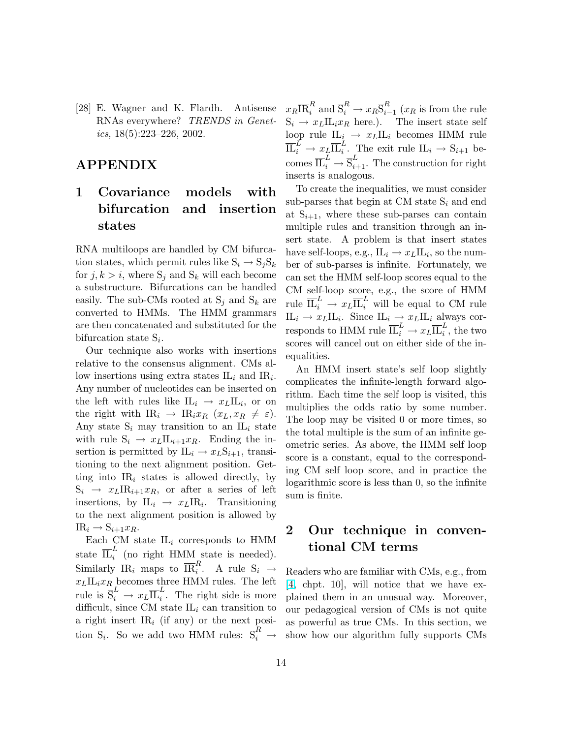<span id="page-13-0"></span>[28] E. Wagner and K. Flardh. Antisense RNAs everywhere? TRENDS in Genet $ics, 18(5):223-226, 2002.$ 

## APPENDIX

## 1 Covariance models with bifurcation and insertion states

RNA multiloops are handled by CM bifurcation states, which permit rules like  $S_i \rightarrow S_j S_k$ for  $j, k > i$ , where  $S_j$  and  $S_k$  will each become a substructure. Bifurcations can be handled easily. The sub-CMs rooted at  $S_i$  and  $S_k$  are converted to HMMs. The HMM grammars are then concatenated and substituted for the bifurcation state  $S_i$ .

Our technique also works with insertions relative to the consensus alignment. CMs allow insertions using extra states  $IL_i$  and  $IR_i$ . Any number of nucleotides can be inserted on the left with rules like  $\text{IL}_i \rightarrow x_L \text{IL}_i$ , or on the right with  $IR_i \rightarrow IR_i x_R (x_L, x_R \neq \varepsilon).$ Any state  $S_i$  may transition to an  $IL_i$  state with rule  $S_i \rightarrow x_L \amalg_{i+1} x_R$ . Ending the insertion is permitted by  $IL_i \rightarrow x_LS_{i+1}$ , transitioning to the next alignment position. Getting into  $IR_i$  states is allowed directly, by  $S_i \rightarrow x_L \text{IR}_{i+1} x_R$ , or after a series of left insertions, by  $\mathbf{L}_i \rightarrow x_L \mathbf{IR}_i$ . Transitioning to the next alignment position is allowed by  $IR_i \rightarrow S_{i+1}x_R.$ 

Each CM state  $IL_i$  corresponds to HMM state  $\overline{\text{IL}}_i^L$  (no right HMM state is needed). Similarly IR<sub>i</sub> maps to  $\overline{\text{IR}}_i^R$ . A rule  $\text{S}_i \rightarrow$  $x_L$ IL<sub>i</sub> $x_R$  becomes three HMM rules. The left rule is  $\overline{S}_i^L \to x_L \overline{\Pi}_i^L$ . The right side is more difficult, since CM state  $IL_i$  can transition to a right insert  $IR_i$  (if any) or the next position  $S_i$ . So we add two HMM rules:  $\overline{S}_i^R \rightarrow$ 

 $x_R \overline{\text{IR}}_i^R$  and  $\overline{\text{S}}_i^R \rightarrow x_R \overline{\text{S}}_{i}^R$  $\sum_{i=1}^{n} (x_R \text{ is from the rule})$  $S_i \rightarrow x_L \amalg_i x_R$  here.). The insert state self loop rule  $\text{IL}_i \rightarrow x_L \text{IL}_i$  becomes HMM rule  $\overline{\text{IL}}_i^L \rightarrow x_L \overline{\text{IL}}_i^L$ . The exit rule  $\text{IL}_i \rightarrow \text{S}_{i+1}$  becomes  $\overline{\Pi}_{i}^{L} \rightarrow \overline{\mathbf{S}}_{i+1}^{L}$ . The construction for right inserts is analogous.

To create the inequalities, we must consider sub-parses that begin at CM state  $S_i$  and end at  $S_{i+1}$ , where these sub-parses can contain multiple rules and transition through an insert state. A problem is that insert states have self-loops, e.g.,  $\text{IL}_i \rightarrow x_L \text{IL}_i$ , so the number of sub-parses is infinite. Fortunately, we can set the HMM self-loop scores equal to the CM self-loop score, e.g., the score of HMM rule  $\overline{\Pi}_{i}^{L} \rightarrow x_{L} \overline{\Pi}_{i}^{L}$  will be equal to CM rule  $\text{IL}_i \to x_L \text{IL}_i$ . Since  $\text{IL}_i \to x_L \text{IL}_i$  always corresponds to HMM rule  $\overline{\text{IL}}_i^L \to x_L \overline{\text{IL}}_i^L$ , the two scores will cancel out on either side of the inequalities.

An HMM insert state's self loop slightly complicates the infinite-length forward algorithm. Each time the self loop is visited, this multiplies the odds ratio by some number. The loop may be visited 0 or more times, so the total multiple is the sum of an infinite geometric series. As above, the HMM self loop score is a constant, equal to the corresponding CM self loop score, and in practice the logarithmic score is less than 0, so the infinite sum is finite.

## 2 Our technique in conventional CM terms

Readers who are familiar with CMs, e.g., from [\[4,](#page-11-0) chpt. 10], will notice that we have explained them in an unusual way. Moreover, our pedagogical version of CMs is not quite as powerful as true CMs. In this section, we show how our algorithm fully supports CMs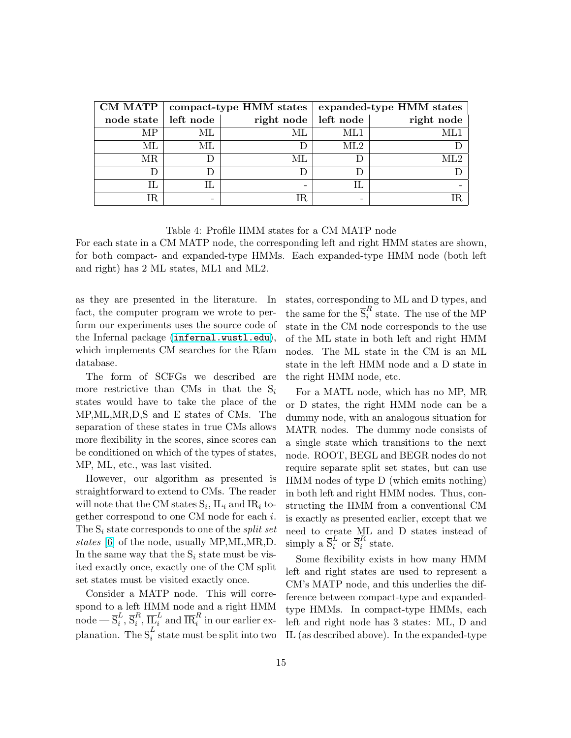<span id="page-14-0"></span>

| <b>CM MATP</b>         |    |                        | compact-type HMM states   expanded-type HMM states |            |  |
|------------------------|----|------------------------|----------------------------------------------------|------------|--|
| node state   left node |    | right node   left node |                                                    | right node |  |
| MР                     | МL |                        | ML1                                                |            |  |
| МL                     | ML |                        | ML2                                                |            |  |
| MR.                    |    |                        |                                                    |            |  |
|                        |    |                        |                                                    |            |  |
|                        |    |                        |                                                    |            |  |
| ΓR                     |    | R                      |                                                    |            |  |

Table 4: Profile HMM states for a CM MATP node

For each state in a CM MATP node, the corresponding left and right HMM states are shown, for both compact- and expanded-type HMMs. Each expanded-type HMM node (both left and right) has 2 ML states, ML1 and ML2.

as they are presented in the literature. In fact, the computer program we wrote to perform our experiments uses the source code of the Infernal package (<infernal.wustl.edu>), which implements CM searches for the Rfam database.

The form of SCFGs we described are more restrictive than CMs in that the  $S_i$ states would have to take the place of the MP,ML,MR,D,S and E states of CMs. The separation of these states in true CMs allows more flexibility in the scores, since scores can be conditioned on which of the types of states, MP, ML, etc., was last visited.

However, our algorithm as presented is straightforward to extend to CMs. The reader will note that the CM states  $S_i$ , IL<sub>i</sub> and IR<sub>i</sub> together correspond to one CM node for each i. The  $S_i$  state corresponds to one of the *split set* states [\[6\]](#page-11-0) of the node, usually MP,ML,MR,D. In the same way that the  $S_i$  state must be visited exactly once, exactly one of the CM split set states must be visited exactly once.

Consider a MATP node. This will correspond to a left HMM node and a right HMM  $\mathrm{node} \hspace*{-.3mm}=\hspace*{-.3mm} \overline{\mathrm{S}}^L_i$  $\frac{L}{i}, \overline{S}_i^R$  $\overline{h}^R_i, \overline{\Pi}^L_i$  and  $\overline{\text{IR}}^R_i$  in our earlier explanation. The  $\overline{S}_i^L$  $\frac{L}{i}$  state must be split into two states, corresponding to ML and D types, and the same for the  $\overline{S}_i^R$  $\frac{n}{i}$  state. The use of the MP state in the CM node corresponds to the use of the ML state in both left and right HMM nodes. The ML state in the CM is an ML state in the left HMM node and a D state in the right HMM node, etc.

For a MATL node, which has no MP, MR or D states, the right HMM node can be a dummy node, with an analogous situation for MATR nodes. The dummy node consists of a single state which transitions to the next node. ROOT, BEGL and BEGR nodes do not require separate split set states, but can use HMM nodes of type D (which emits nothing) in both left and right HMM nodes. Thus, constructing the HMM from a conventional CM is exactly as presented earlier, except that we need to create ML and D states instead of simply a  $\overline{S}_i^L$  or  $\overline{S}_i^R$  $\sum_{i=1}^{n}$  state.

Some flexibility exists in how many HMM left and right states are used to represent a CM's MATP node, and this underlies the difference between compact-type and expandedtype HMMs. In compact-type HMMs, each left and right node has 3 states: ML, D and IL (as described above). In the expanded-type